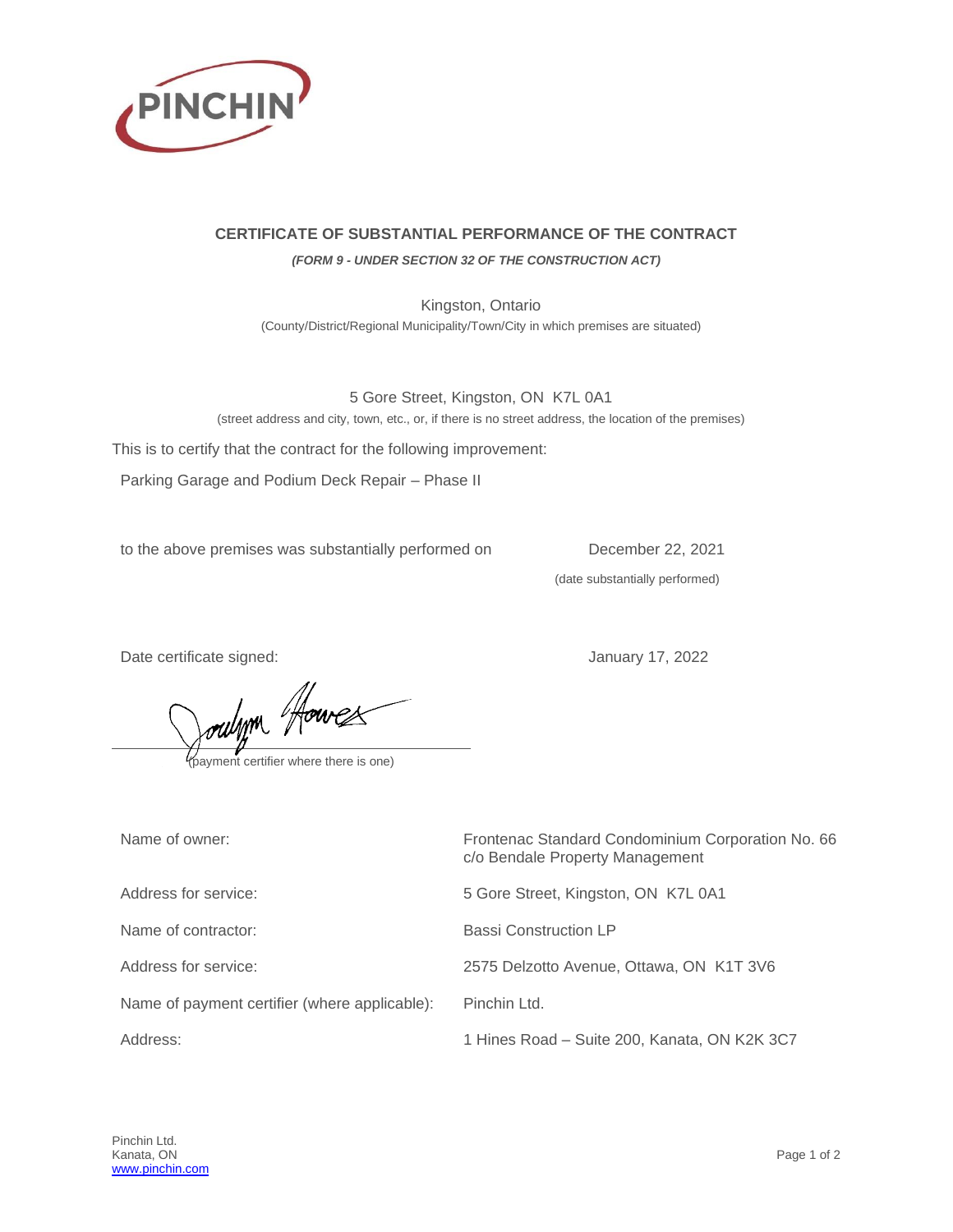

## **CERTIFICATE OF SUBSTANTIAL PERFORMANCE OF THE CONTRACT**

*(FORM 9 - UNDER SECTION 32 OF THE CONSTRUCTION ACT)*

Kingston, Ontario (County/District/Regional Municipality/Town/City in which premises are situated)

5 Gore Street, Kingston, ON K7L 0A1 (street address and city, town, etc., or, if there is no street address, the location of the premises)

This is to certify that the contract for the following improvement:

Parking Garage and Podium Deck Repair – Phase II

to the above premises was substantially performed on December 22, 2021

(date substantially performed)

Date certificate signed:  $\sqrt{2}$  January 17, 2022

oulyon Houres

| Name of owner:                                | Frontenac Standard Condominium Corporation No. 66<br>c/o Bendale Property Management |
|-----------------------------------------------|--------------------------------------------------------------------------------------|
| Address for service:                          | 5 Gore Street, Kingston, ON K7L 0A1                                                  |
| Name of contractor:                           | <b>Bassi Construction LP</b>                                                         |
| Address for service:                          | 2575 Delzotto Avenue, Ottawa, ON K1T 3V6                                             |
| Name of payment certifier (where applicable): | Pinchin Ltd.                                                                         |
| Address:                                      | 1 Hines Road - Suite 200, Kanata, ON K2K 3C7                                         |